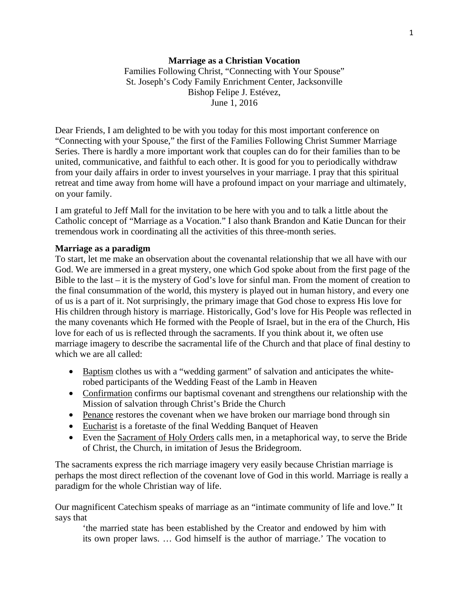Families Following Christ, "Connecting with Your Spouse" St. Joseph's Cody Family Enrichment Center, Jacksonville Bishop Felipe J. Estévez, June 1, 2016

Dear Friends, I am delighted to be with you today for this most important conference on "Connecting with your Spouse," the first of the Families Following Christ Summer Marriage Series. There is hardly a more important work that couples can do for their families than to be united, communicative, and faithful to each other. It is good for you to periodically withdraw from your daily affairs in order to invest yourselves in your marriage. I pray that this spiritual retreat and time away from home will have a profound impact on your marriage and ultimately, on your family.

I am grateful to Jeff Mall for the invitation to be here with you and to talk a little about the Catholic concept of "Marriage as a Vocation." I also thank Brandon and Katie Duncan for their tremendous work in coordinating all the activities of this three-month series.

# **Marriage as a paradigm**

To start, let me make an observation about the covenantal relationship that we all have with our God. We are immersed in a great mystery, one which God spoke about from the first page of the Bible to the last – it is the mystery of God's love for sinful man. From the moment of creation to the final consummation of the world, this mystery is played out in human history, and every one of us is a part of it. Not surprisingly, the primary image that God chose to express His love for His children through history is marriage. Historically, God's love for His People was reflected in the many covenants which He formed with the People of Israel, but in the era of the Church, His love for each of us is reflected through the sacraments. If you think about it, we often use marriage imagery to describe the sacramental life of the Church and that place of final destiny to which we are all called:

- Baptism clothes us with a "wedding garment" of salvation and anticipates the whiterobed participants of the Wedding Feast of the Lamb in Heaven
- Confirmation confirms our baptismal covenant and strengthens our relationship with the Mission of salvation through Christ's Bride the Church
- Penance restores the covenant when we have broken our marriage bond through sin
- Eucharist is a foretaste of the final Wedding Banquet of Heaven
- Even the Sacrament of Holy Orders calls men, in a metaphorical way, to serve the Bride of Christ, the Church, in imitation of Jesus the Bridegroom.

The sacraments express the rich marriage imagery very easily because Christian marriage is perhaps the most direct reflection of the covenant love of God in this world. Marriage is really a paradigm for the whole Christian way of life.

Our magnificent Catechism speaks of marriage as an "intimate community of life and love." It says that

'the married state has been established by the Creator and endowed by him with its own proper laws. … God himself is the author of marriage.' The vocation to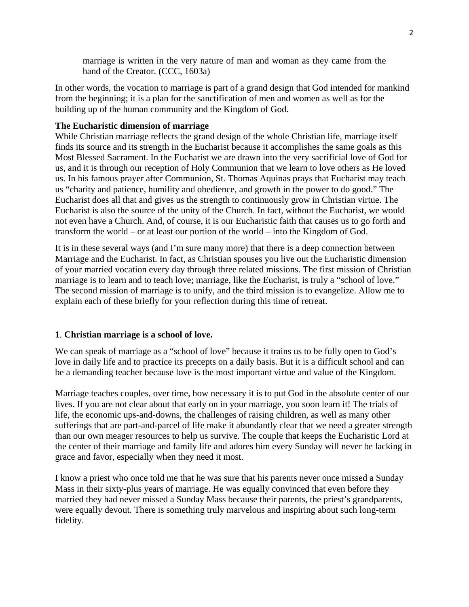marriage is written in the very nature of man and woman as they came from the hand of the Creator. (CCC, 1603a)

In other words, the vocation to marriage is part of a grand design that God intended for mankind from the beginning; it is a plan for the sanctification of men and women as well as for the building up of the human community and the Kingdom of God.

## **The Eucharistic dimension of marriage**

While Christian marriage reflects the grand design of the whole Christian life, marriage itself finds its source and its strength in the Eucharist because it accomplishes the same goals as this Most Blessed Sacrament. In the Eucharist we are drawn into the very sacrificial love of God for us, and it is through our reception of Holy Communion that we learn to love others as He loved us. In his famous prayer after Communion, St. Thomas Aquinas prays that Eucharist may teach us "charity and patience, humility and obedience, and growth in the power to do good." The Eucharist does all that and gives us the strength to continuously grow in Christian virtue. The Eucharist is also the source of the unity of the Church. In fact, without the Eucharist, we would not even have a Church. And, of course, it is our Eucharistic faith that causes us to go forth and transform the world – or at least our portion of the world – into the Kingdom of God.

It is in these several ways (and I'm sure many more) that there is a deep connection between Marriage and the Eucharist. In fact, as Christian spouses you live out the Eucharistic dimension of your married vocation every day through three related missions. The first mission of Christian marriage is to learn and to teach love; marriage, like the Eucharist, is truly a "school of love." The second mission of marriage is to unify, and the third mission is to evangelize. Allow me to explain each of these briefly for your reflection during this time of retreat.

## **1**. **Christian marriage is a school of love.**

We can speak of marriage as a "school of love" because it trains us to be fully open to God's love in daily life and to practice its precepts on a daily basis. But it is a difficult school and can be a demanding teacher because love is the most important virtue and value of the Kingdom.

Marriage teaches couples, over time, how necessary it is to put God in the absolute center of our lives. If you are not clear about that early on in your marriage, you soon learn it! The trials of life, the economic ups-and-downs, the challenges of raising children, as well as many other sufferings that are part-and-parcel of life make it abundantly clear that we need a greater strength than our own meager resources to help us survive. The couple that keeps the Eucharistic Lord at the center of their marriage and family life and adores him every Sunday will never be lacking in grace and favor, especially when they need it most.

I know a priest who once told me that he was sure that his parents never once missed a Sunday Mass in their sixty-plus years of marriage. He was equally convinced that even before they married they had never missed a Sunday Mass because their parents, the priest's grandparents, were equally devout. There is something truly marvelous and inspiring about such long-term fidelity.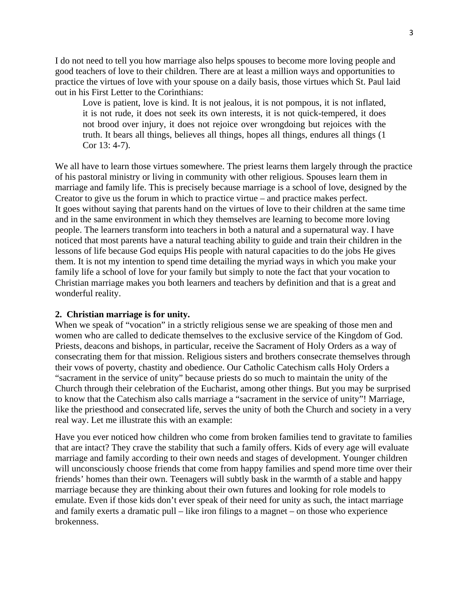I do not need to tell you how marriage also helps spouses to become more loving people and good teachers of love to their children. There are at least a million ways and opportunities to practice the virtues of love with your spouse on a daily basis, those virtues which St. Paul laid out in his First Letter to the Corinthians:

Love is patient, love is kind. It is not jealous, it is not pompous, it is not inflated, it is not rude, it does not seek its own interests, it is not quick-tempered, it does not brood over injury, it does not rejoice over wrongdoing but rejoices with the truth. It bears all things, believes all things, hopes all things, endures all things (1 Cor 13: 4-7).

We all have to learn those virtues somewhere. The priest learns them largely through the practice of his pastoral ministry or living in community with other religious. Spouses learn them in marriage and family life. This is precisely because marriage is a school of love, designed by the Creator to give us the forum in which to practice virtue – and practice makes perfect. It goes without saying that parents hand on the virtues of love to their children at the same time and in the same environment in which they themselves are learning to become more loving people. The learners transform into teachers in both a natural and a supernatural way. I have noticed that most parents have a natural teaching ability to guide and train their children in the lessons of life because God equips His people with natural capacities to do the jobs He gives them. It is not my intention to spend time detailing the myriad ways in which you make your family life a school of love for your family but simply to note the fact that your vocation to Christian marriage makes you both learners and teachers by definition and that is a great and wonderful reality.

#### **2. Christian marriage is for unity.**

When we speak of "vocation" in a strictly religious sense we are speaking of those men and women who are called to dedicate themselves to the exclusive service of the Kingdom of God. Priests, deacons and bishops, in particular, receive the Sacrament of Holy Orders as a way of consecrating them for that mission. Religious sisters and brothers consecrate themselves through their vows of poverty, chastity and obedience. Our Catholic Catechism calls Holy Orders a "sacrament in the service of unity" because priests do so much to maintain the unity of the Church through their celebration of the Eucharist, among other things. But you may be surprised to know that the Catechism also calls marriage a "sacrament in the service of unity"! Marriage, like the priesthood and consecrated life, serves the unity of both the Church and society in a very real way. Let me illustrate this with an example:

Have you ever noticed how children who come from broken families tend to gravitate to families that are intact? They crave the stability that such a family offers. Kids of every age will evaluate marriage and family according to their own needs and stages of development. Younger children will unconsciously choose friends that come from happy families and spend more time over their friends' homes than their own. Teenagers will subtly bask in the warmth of a stable and happy marriage because they are thinking about their own futures and looking for role models to emulate. Even if those kids don't ever speak of their need for unity as such, the intact marriage and family exerts a dramatic pull – like iron filings to a magnet – on those who experience brokenness.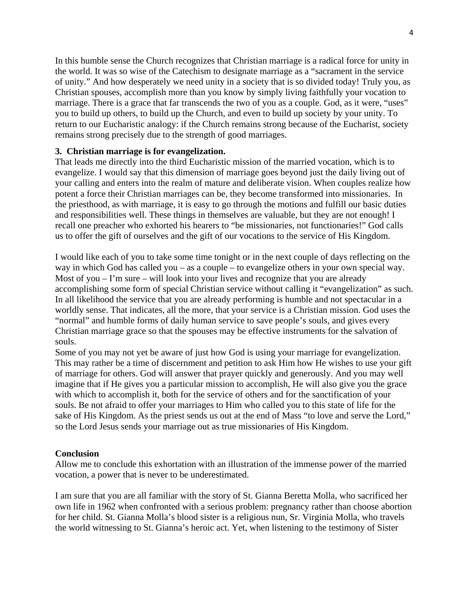In this humble sense the Church recognizes that Christian marriage is a radical force for unity in the world. It was so wise of the Catechism to designate marriage as a "sacrament in the service of unity." And how desperately we need unity in a society that is so divided today! Truly you, as Christian spouses, accomplish more than you know by simply living faithfully your vocation to marriage. There is a grace that far transcends the two of you as a couple. God, as it were, "uses" you to build up others, to build up the Church, and even to build up society by your unity. To return to our Eucharistic analogy: if the Church remains strong because of the Eucharist, society remains strong precisely due to the strength of good marriages.

## **3. Christian marriage is for evangelization.**

That leads me directly into the third Eucharistic mission of the married vocation, which is to evangelize. I would say that this dimension of marriage goes beyond just the daily living out of your calling and enters into the realm of mature and deliberate vision. When couples realize how potent a force their Christian marriages can be, they become transformed into missionaries. In the priesthood, as with marriage, it is easy to go through the motions and fulfill our basic duties and responsibilities well. These things in themselves are valuable, but they are not enough! I recall one preacher who exhorted his hearers to "be missionaries, not functionaries!" God calls us to offer the gift of ourselves and the gift of our vocations to the service of His Kingdom.

I would like each of you to take some time tonight or in the next couple of days reflecting on the way in which God has called you – as a couple – to evangelize others in your own special way. Most of you  $-1$ 'm sure – will look into your lives and recognize that you are already accomplishing some form of special Christian service without calling it "evangelization" as such. In all likelihood the service that you are already performing is humble and not spectacular in a worldly sense. That indicates, all the more, that your service is a Christian mission. God uses the "normal" and humble forms of daily human service to save people's souls, and gives every Christian marriage grace so that the spouses may be effective instruments for the salvation of souls.

Some of you may not yet be aware of just how God is using your marriage for evangelization. This may rather be a time of discernment and petition to ask Him how He wishes to use your gift of marriage for others. God will answer that prayer quickly and generously. And you may well imagine that if He gives you a particular mission to accomplish, He will also give you the grace with which to accomplish it, both for the service of others and for the sanctification of your souls. Be not afraid to offer your marriages to Him who called you to this state of life for the sake of His Kingdom. As the priest sends us out at the end of Mass "to love and serve the Lord," so the Lord Jesus sends your marriage out as true missionaries of His Kingdom.

## **Conclusion**

Allow me to conclude this exhortation with an illustration of the immense power of the married vocation, a power that is never to be underestimated.

I am sure that you are all familiar with the story of St. Gianna Beretta Molla, who sacrificed her own life in 1962 when confronted with a serious problem: pregnancy rather than choose abortion for her child. St. Gianna Molla's blood sister is a religious nun, Sr. Virginia Molla, who travels the world witnessing to St. Gianna's heroic act. Yet, when listening to the testimony of Sister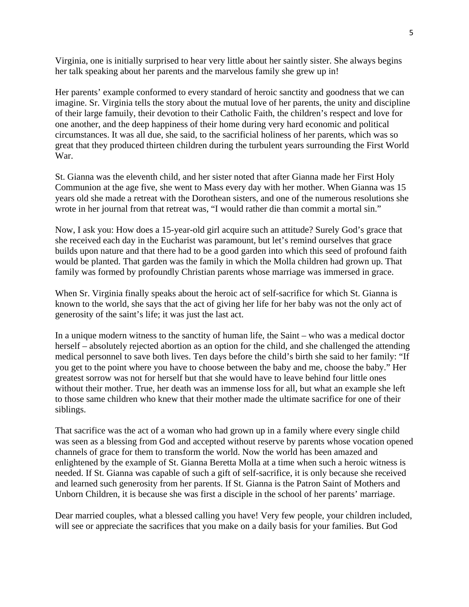Virginia, one is initially surprised to hear very little about her saintly sister. She always begins her talk speaking about her parents and the marvelous family she grew up in!

Her parents' example conformed to every standard of heroic sanctity and goodness that we can imagine. Sr. Virginia tells the story about the mutual love of her parents, the unity and discipline of their large famuily, their devotion to their Catholic Faith, the children's respect and love for one another, and the deep happiness of their home during very hard economic and political circumstances. It was all due, she said, to the sacrificial holiness of her parents, which was so great that they produced thirteen children during the turbulent years surrounding the First World War.

St. Gianna was the eleventh child, and her sister noted that after Gianna made her First Holy Communion at the age five, she went to Mass every day with her mother. When Gianna was 15 years old she made a retreat with the Dorothean sisters, and one of the numerous resolutions she wrote in her journal from that retreat was, "I would rather die than commit a mortal sin."

Now, I ask you: How does a 15-year-old girl acquire such an attitude? Surely God's grace that she received each day in the Eucharist was paramount, but let's remind ourselves that grace builds upon nature and that there had to be a good garden into which this seed of profound faith would be planted. That garden was the family in which the Molla children had grown up. That family was formed by profoundly Christian parents whose marriage was immersed in grace.

When Sr. Virginia finally speaks about the heroic act of self-sacrifice for which St. Gianna is known to the world, she says that the act of giving her life for her baby was not the only act of generosity of the saint's life; it was just the last act.

In a unique modern witness to the sanctity of human life, the Saint – who was a medical doctor herself – absolutely rejected abortion as an option for the child, and she challenged the attending medical personnel to save both lives. Ten days before the child's birth she said to her family: "If you get to the point where you have to choose between the baby and me, choose the baby." Her greatest sorrow was not for herself but that she would have to leave behind four little ones without their mother. True, her death was an immense loss for all, but what an example she left to those same children who knew that their mother made the ultimate sacrifice for one of their siblings.

That sacrifice was the act of a woman who had grown up in a family where every single child was seen as a blessing from God and accepted without reserve by parents whose vocation opened channels of grace for them to transform the world. Now the world has been amazed and enlightened by the example of St. Gianna Beretta Molla at a time when such a heroic witness is needed. If St. Gianna was capable of such a gift of self-sacrifice, it is only because she received and learned such generosity from her parents. If St. Gianna is the Patron Saint of Mothers and Unborn Children, it is because she was first a disciple in the school of her parents' marriage.

Dear married couples, what a blessed calling you have! Very few people, your children included, will see or appreciate the sacrifices that you make on a daily basis for your families. But God